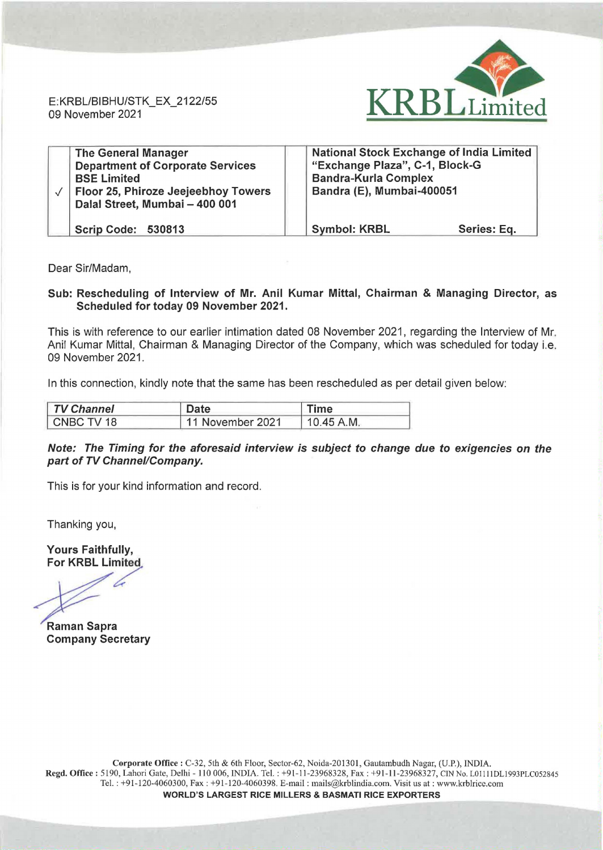E:KRBL/BIBHU/STK\_EX\_2122/55 09 November 2021



| <b>The General Manager</b><br><b>Department of Corporate Services</b><br><b>BSE Limited</b><br>Floor 25, Phiroze Jeejeebhoy Towers<br>Dalal Street, Mumbai - 400 001 | <b>National Stock Exchange of India Limited</b><br>"Exchange Plaza", C-1, Block-G<br><b>Bandra-Kurla Complex</b><br>Bandra (E), Mumbai-400051 |
|----------------------------------------------------------------------------------------------------------------------------------------------------------------------|-----------------------------------------------------------------------------------------------------------------------------------------------|
| <b>Scrip Code: 530813</b>                                                                                                                                            | <b>Symbol: KRBL</b><br>Series: Eq.                                                                                                            |

Dear Sir/Madam,

Sub: Rescheduling of Interview of Mr. Anil Kumar Mittal, Chairman & Managing Director, as Scheduled for today 09 November 2021.

This is with reference to our earlier intimation dated 08 November 2021, regarding the Interview of Mr. Anil Kumar Mittal, Chairman & Managing Director of the Company, which was scheduled for today i.e. 09 November 2021.

In this connection, kindly note that the same has been rescheduled as per detail given below:

| <b>TV Channel</b> | Date             | Time       |
|-------------------|------------------|------------|
| CNBC TV 18        | 11 November 2021 | 10.45 A.M. |

## Note: The Timing for the aforesaid interview is subject to change due to exigencies on the part of TV Channel/Company.

This is for your kind information and record.

Thanking you,

Yours Faithfully, For KRBL Limited

Raman Sapra Company Secretary